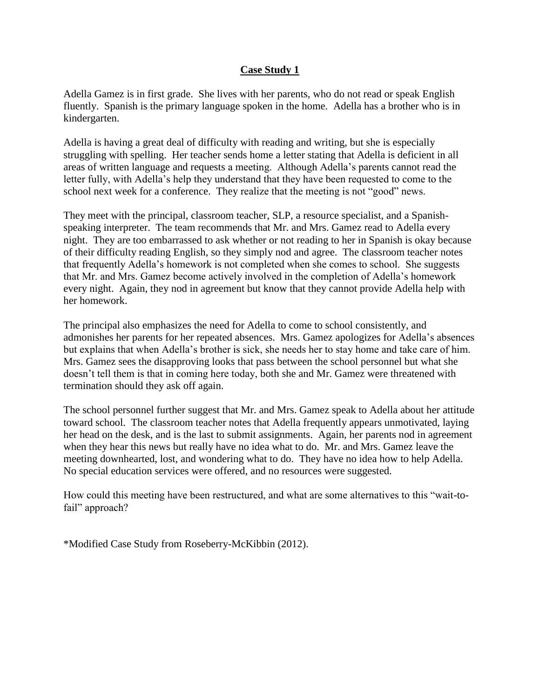## **Case Study 1**

Adella Gamez is in first grade. She lives with her parents, who do not read or speak English fluently. Spanish is the primary language spoken in the home. Adella has a brother who is in kindergarten.

Adella is having a great deal of difficulty with reading and writing, but she is especially struggling with spelling. Her teacher sends home a letter stating that Adella is deficient in all areas of written language and requests a meeting. Although Adella's parents cannot read the letter fully, with Adella's help they understand that they have been requested to come to the school next week for a conference. They realize that the meeting is not "good" news.

They meet with the principal, classroom teacher, SLP, a resource specialist, and a Spanishspeaking interpreter. The team recommends that Mr. and Mrs. Gamez read to Adella every night. They are too embarrassed to ask whether or not reading to her in Spanish is okay because of their difficulty reading English, so they simply nod and agree. The classroom teacher notes that frequently Adella's homework is not completed when she comes to school. She suggests that Mr. and Mrs. Gamez become actively involved in the completion of Adella's homework every night. Again, they nod in agreement but know that they cannot provide Adella help with her homework.

The principal also emphasizes the need for Adella to come to school consistently, and admonishes her parents for her repeated absences. Mrs. Gamez apologizes for Adella's absences but explains that when Adella's brother is sick, she needs her to stay home and take care of him. Mrs. Gamez sees the disapproving looks that pass between the school personnel but what she doesn't tell them is that in coming here today, both she and Mr. Gamez were threatened with termination should they ask off again.

The school personnel further suggest that Mr. and Mrs. Gamez speak to Adella about her attitude toward school. The classroom teacher notes that Adella frequently appears unmotivated, laying her head on the desk, and is the last to submit assignments. Again, her parents nod in agreement when they hear this news but really have no idea what to do. Mr. and Mrs. Gamez leave the meeting downhearted, lost, and wondering what to do. They have no idea how to help Adella. No special education services were offered, and no resources were suggested.

How could this meeting have been restructured, and what are some alternatives to this "wait-tofail" approach?

\*Modified Case Study from Roseberry-McKibbin (2012).